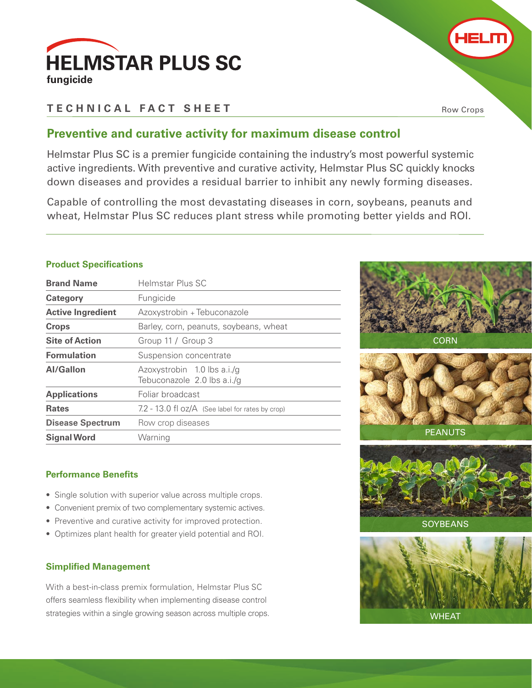

# **TECHNICAL FACT SHEET**

Row Crops

HELM

## **Preventive and curative activity for maximum disease control**

Helmstar Plus SC is a premier fungicide containing the industry's most powerful systemic active ingredients. With preventive and curative activity, Helmstar Plus SC quickly knocks down diseases and provides a residual barrier to inhibit any newly forming diseases.

Capable of controlling the most devastating diseases in corn, soybeans, peanuts and wheat, Helmstar Plus SC reduces plant stress while promoting better yields and ROI.

#### **Product Specifications**

| <b>Brand Name</b>        | Helmstar Plus SC                                           |
|--------------------------|------------------------------------------------------------|
| <b>Category</b>          | Fungicide                                                  |
| <b>Active Ingredient</b> | Azoxystrobin + Tebuconazole                                |
| <b>Crops</b>             | Barley, corn, peanuts, soybeans, wheat                     |
| <b>Site of Action</b>    | Group 11 / Group 3                                         |
| <b>Formulation</b>       | Suspension concentrate                                     |
| Al/Gallon                | Azoxystrobin 1.0 lbs a.i./g<br>Tebuconazole 2.0 lbs a.i./g |
| <b>Applications</b>      | Foliar broadcast                                           |
| <b>Rates</b>             | $7.2$ - 13.0 fl $oz/A$ (See label for rates by crop)       |
| <b>Disease Spectrum</b>  | Row crop diseases                                          |
| <b>Signal Word</b>       | Warning                                                    |



**CORN** 

### **Performance Benefits**

- Single solution with superior value across multiple crops.
- Convenient premix of two complementary systemic actives.
- Preventive and curative activity for improved protection.
- Optimizes plant health for greater yield potential and ROI.

#### **Simplified Management**

With a best-in-class premix formulation, Helmstar Plus SC offers seamless flexibility when implementing disease control strategies within a single growing season across multiple crops.



**SOYBEANS**